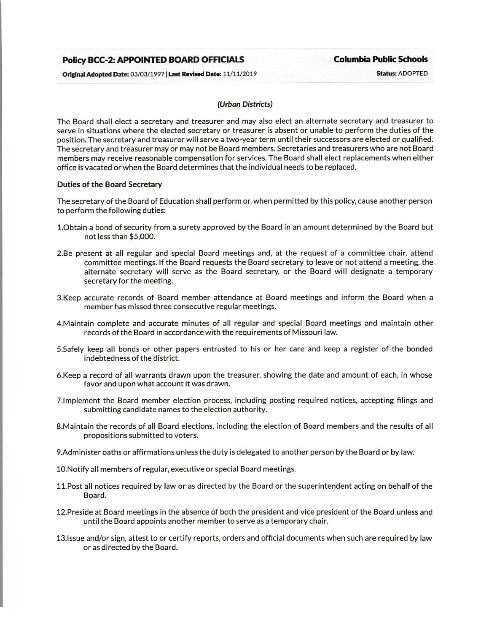# **Policy BCC-2: APPOINTED BOARD OFFICIALS Columbia Public Schools**

Original Adopted Date: 03/03/1997 | Last Revised Date: 11/11/2019 Status: ADOPTED

## (Urban Districts)

The Board shall elect a secretary and treasurer and may also elect an alternate secretary and treasurer to serve in situations where the elected secretary or treasurer is absent or unable to perform the duties of the position. The secretary and treasurer will serve a two-year term until their successors are elected or qualified. The secretary and treasurer may or may not be Board members. Secretaries and treasurers who are not Board members may receive reasonable compensation for services. The Board shall elect replacements when either office is vacated or when the Board determines that the individual needs to be replaced.

## Duties of the Board Secretary

The secretary of the Board of Education shall perform or, when permitted by this policy, cause another person to perform the following duties:

- 1.0btain a bond of security from a surety approved by the Board in an amount determined by the Board but not less than \$5,000.
- 2.Be present at all regular and special Board meetings and, at the request of a committee chair, attend committee meetings. If the Board requests the Board secretary to leave or not attend a meeting, the alternate secretary will serve as the Board secretary, or the Board will designate a temporary secretary for the meeting.
- 3.Keep accurate records of Board member attendance at Board meetings and inform the Board when a member has missed three consecutive regular meetings.
- 4.Maintain complete and accurate minutes of all regular and special Board meetings and maintain other records of the Board in accordance with the requirements of Missouri law.
- S.Safely keep all bonds or other papers entrusted to his or her care and keep a register of the bonded indebtedness of the district.
- 6.Keep a record of all warrants drawn upon the treasurer, showing the date and amount of each, in whose favor and upon what account it was drawn.
- 7.1 mplement the Board member election process, including posting required notices, accepting filings and submitting candidate names to the election authority.
- 8.Maintain the records of all Board elections, including the election of Board members and the results of all propositions submitted to voters.
- 9.Administer oaths or affirmations unless the duty is delegated to another person by the Board or by law.
- 10.Notify all members of regular, executive or special Board meetings.
- 11.Post all notices required by law or as directed by the Board or the superintendent acting on behalf of the Board.
- 12.Preside at Board meetings in the absence of both the president and vice president of the Board unless and until the Board appoints another member to serve as a temporary chair.
- 13.1ssue and/or sign, attest to or certify reports, orders and official documents when such are required by law or as directed by the Board.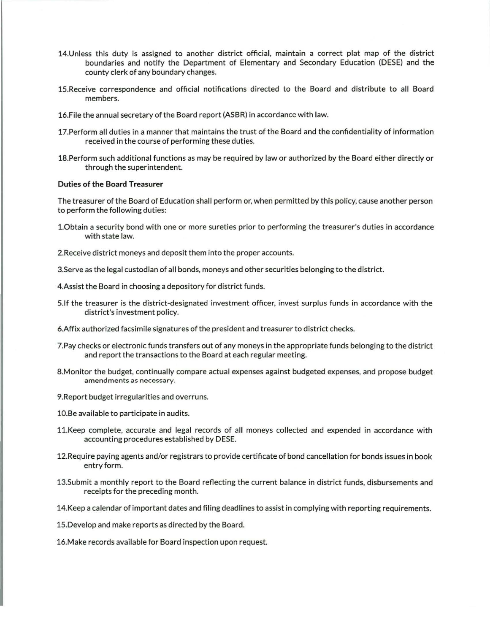- 14.Unless this duty is assigned to another district official, maintain a correct plat map of the district boundaries and notify the Department of Elementary and Secondary Education (DESE) and the county clerk of any boundary changes.
- 15.Receive correspondence and official notifications directed to the Board and distribute to all Board members.
- 16.File the annual secretary of the Board report (ASBR) in accordance with law.
- 17.Perform all duties in a manner that maintains the trust of the Board and the confidentiality of information received in the course of performing these duties.
- 18.Perform such additional functions as may be required by law or authorized by the Board either directly or through the superintendent.

#### **Duties of the Board Treasurer**

The treasurer of the Board of Education shall perform or, when permitted by this policy, cause another person to perform the following duties:

- 1.0btain a security bond with one or more sureties prior to performing the treasurer's duties in accordance with state law.
- 2.Receive district moneys and deposit them into the proper accounts.
- 3.Serve as the legal custodian of all bonds, moneys and other securities belonging to the district.
- 4.Assist the Board in choosing a depository for district funds.
- S.lf the treasurer is the district-designated investment officer, invest surplus funds in accordance with the district's investment policy.
- 6.Affix authorized facsimile signatures of the president and treasurer to district checks.
- ?.Pay checks or electronic funds transfers out of any moneys in the appropriate funds belonging to the district and report the transactions to the Board at each regular meeting.
- 8.Monitor the budget, continually compare actual expenses against budgeted expenses, and propose budget amendments as necessary.
- 9.Report budget irregularities and overruns.
- 10.Be available to participate in audits.
- 11.Keep complete, accurate and legal records of all moneys collected and expended in accordance with accounting procedures established by DESE.
- 12.Require paying agents and/or registrars to provide certificate of bond cancellation for bonds issues in book entry form.
- 13.Submit a monthly report to the Board reflecting the current balance in district funds, disbursements and receipts for the preceding month.
- 14.Keep a calendar of important dates and filing deadlines to assist in complying with reporting requirements.
- 15.Develop and make reports as directed by the Board.
- 16.Make records available for Board inspection upon request.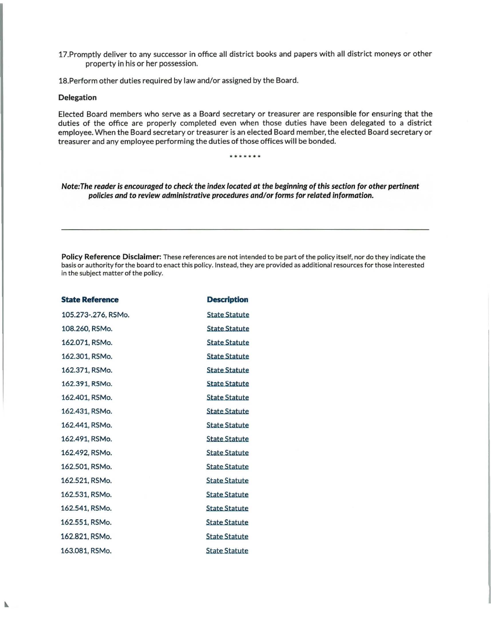17.Promptly deliver to any successor in office all district books and papers with all district moneys or other property in his or her possession.

18.Perform other duties required by law and/or assigned by the Board.

## Delegation

N

Elected Board members who serve as a Board secretary or treasurer are responsible for ensuring that the duties of the office are properly completed even when those duties have been delegated to a district employee. When the Board secretary or treasurer is an elected Board member, the elected Board secretary or treasurer and any employee performing the duties of those offices will be bonded.

\* \* \* \* \* \*

Note: The reader is encouraged to check the index located at the beginning of this section for other pertinent policies and to review administrative procedures and/or forms for related information.

Policy Reference Disclaimer: These references are not intended to be part of the policy itself, nor do they indicate the basis or authority for the board to enact this policy. Instead, they are provided as additional resources for those interested in the subject matter of the policy.

| <b>State Reference</b> | <b>Description</b>   |
|------------------------|----------------------|
| 105.273-.276, RSMo.    | <b>State Statute</b> |
| 108.260, RSMo.         | <b>State Statute</b> |
| 162.071, RSMo.         | <b>State Statute</b> |
| 162.301, RSMo.         | <b>State Statute</b> |
| 162.371, RSMo.         | <b>State Statute</b> |
| 162.391, RSMo.         | <b>State Statute</b> |
| 162.401, RSMo.         | <b>State Statute</b> |
| 162.431, RSMo.         | <b>State Statute</b> |
| 162.441, RSMo.         | <b>State Statute</b> |
| 162.491, RSMo.         | <b>State Statute</b> |
| 162.492, RSMo.         | <b>State Statute</b> |
| 162.501, RSMo.         | <b>State Statute</b> |
| 162.521, RSMo.         | <b>State Statute</b> |
| 162.531, RSMo.         | <b>State Statute</b> |
| 162.541, RSMo.         | <b>State Statute</b> |
| 162.551, RSMo.         | <b>State Statute</b> |
| 162.821, RSMo.         | <b>State Statute</b> |
| 163.081, RSMo.         | <b>State Statute</b> |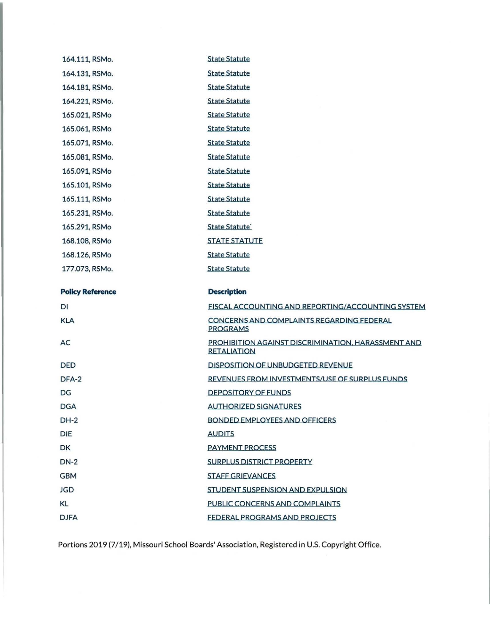| 164.111, RSMo.          | <b>State Statute</b>                                                     |
|-------------------------|--------------------------------------------------------------------------|
| 164.131, RSMo.          | <b>State Statute</b>                                                     |
| 164.181, RSMo.          | <b>State Statute</b>                                                     |
| 164.221, RSMo.          | <b>State Statute</b>                                                     |
| 165.021, RSMo           | <b>State Statute</b>                                                     |
| 165.061, RSMo           | <b>State Statute</b>                                                     |
| 165.071, RSMo.          | <b>State Statute</b>                                                     |
| 165.081, RSMo.          | <b>State Statute</b>                                                     |
| 165.091, RSMo           | <b>State Statute</b>                                                     |
| 165.101, RSMo           | <b>State Statute</b>                                                     |
| 165.111, RSMo           | <b>State Statute</b>                                                     |
| 165.231, RSMo.          | <b>State Statute</b>                                                     |
| 165.291, RSMo           | <b>State Statute</b>                                                     |
| 168.108, RSMo           | <b>STATE STATUTE</b>                                                     |
| 168.126, RSMo           | <b>State Statute</b>                                                     |
| 177.073, RSMo.          | <b>State Statute</b>                                                     |
|                         |                                                                          |
|                         |                                                                          |
| <b>Policy Reference</b> | <b>Description</b>                                                       |
| DI                      | FISCAL ACCOUNTING AND REPORTING/ACCOUNTING SYSTEM                        |
| <b>KLA</b>              | CONCERNS AND COMPLAINTS REGARDING FEDERAL<br><b>PROGRAMS</b>             |
| AC                      | PROHIBITION AGAINST DISCRIMINATION, HARASSMENT AND<br><b>RETALIATION</b> |
| <b>DED</b>              | <b>DISPOSITION OF UNBUDGETED REVENUE</b>                                 |
| DFA-2                   | REVENUES FROM INVESTMENTS/USE OF SURPLUS FUNDS                           |
| DG                      | <b>DEPOSITORY OF FUNDS</b>                                               |
| <b>DGA</b>              | <b>AUTHORIZED SIGNATURES</b>                                             |
| $DH-2$                  | BONDED EMPLOYEES AND OFFICERS                                            |
| DIE                     | <b>AUDITS</b>                                                            |
| DK                      | <b>PAYMENT PROCESS</b>                                                   |
| $DN-2$                  | <b>SURPLUS DISTRICT PROPERTY</b>                                         |
| <b>GBM</b>              | <b>STAFF GRIEVANCES</b>                                                  |
| <b>JGD</b>              | STUDENT SUSPENSION AND EXPULSION                                         |
| KL                      | PUBLIC CONCERNS AND COMPLAINTS                                           |

Portions 2019 (7/19), Missouri School Boards' Association, Registered in U.S. Copyright Office.